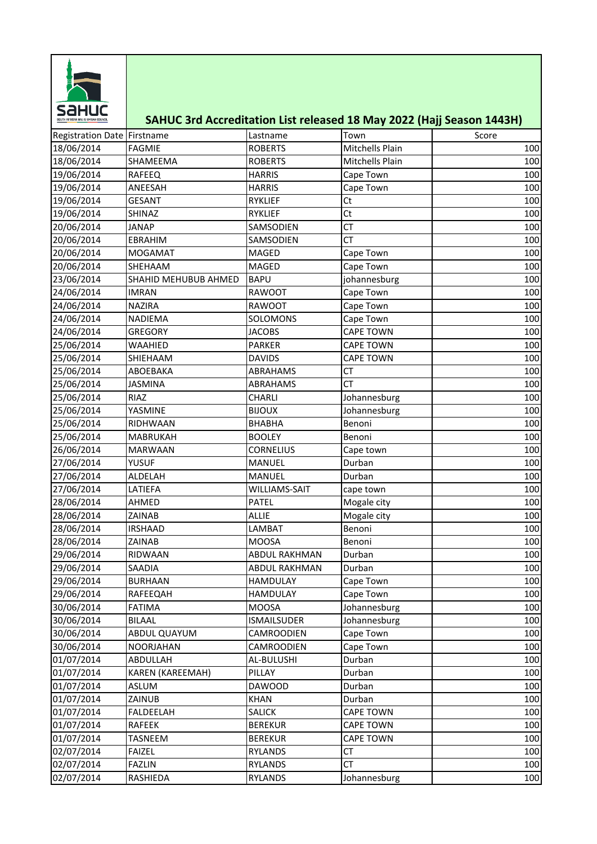

## **SAHUC 3rd Accreditation List released 18 May 2022 (Hajj Season 1443H)**

| Registration Date Firstname |                      | Lastname             | Town             | Score |
|-----------------------------|----------------------|----------------------|------------------|-------|
| 18/06/2014                  | <b>FAGMIE</b>        | <b>ROBERTS</b>       | Mitchells Plain  | 100   |
| 18/06/2014                  | SHAMEEMA             | <b>ROBERTS</b>       | Mitchells Plain  | 100   |
| 19/06/2014                  | RAFEEQ               | <b>HARRIS</b>        | Cape Town        | 100   |
| 19/06/2014                  | ANEESAH              | <b>HARRIS</b>        | Cape Town        | 100   |
| 19/06/2014                  | <b>GESANT</b>        | RYKLIEF              | Ct               | 100   |
| 19/06/2014                  | SHINAZ               | <b>RYKLIEF</b>       | Ct               | 100   |
| 20/06/2014                  | <b>JANAP</b>         | SAMSODIEN            | <b>CT</b>        | 100   |
| 20/06/2014                  | EBRAHIM              | SAMSODIEN            | <b>CT</b>        | 100   |
| 20/06/2014                  | <b>MOGAMAT</b>       | MAGED                | Cape Town        | 100   |
| 20/06/2014                  | SHEHAAM              | MAGED                | Cape Town        | 100   |
| 23/06/2014                  | SHAHID MEHUBUB AHMED | <b>BAPU</b>          | johannesburg     | 100   |
| 24/06/2014                  | <b>IMRAN</b>         | RAWOOT               | Cape Town        | 100   |
| 24/06/2014                  | NAZIRA               | RAWOOT               | Cape Town        | 100   |
| 24/06/2014                  | NADIEMA              | SOLOMONS             | Cape Town        | 100   |
| 24/06/2014                  | <b>GREGORY</b>       | <b>JACOBS</b>        | CAPE TOWN        | 100   |
| 25/06/2014                  | WAAHIED              | <b>PARKER</b>        | <b>CAPE TOWN</b> | 100   |
| 25/06/2014                  | SHIEHAAM             | <b>DAVIDS</b>        | <b>CAPE TOWN</b> | 100   |
| 25/06/2014                  | ABOEBAKA             | <b>ABRAHAMS</b>      | СT               | 100   |
| 25/06/2014                  | <b>JASMINA</b>       | ABRAHAMS             | <b>CT</b>        | 100   |
| 25/06/2014                  | RIAZ                 | CHARLI               | Johannesburg     | 100   |
| 25/06/2014                  | YASMINE              | <b>BIJOUX</b>        | Johannesburg     | 100   |
| 25/06/2014                  | RIDHWAAN             | <b>BHABHA</b>        | Benoni           | 100   |
| 25/06/2014                  | <b>MABRUKAH</b>      | <b>BOOLEY</b>        | Benoni           | 100   |
| 26/06/2014                  | <b>MARWAAN</b>       | <b>CORNELIUS</b>     | Cape town        | 100   |
| 27/06/2014                  | YUSUF                | MANUEL               | Durban           | 100   |
| 27/06/2014                  | ALDELAH              | <b>MANUEL</b>        | Durban           | 100   |
| 27/06/2014                  | LATIEFA              | WILLIAMS-SAIT        | cape town        | 100   |
| 28/06/2014                  | AHMED                | <b>PATEL</b>         | Mogale city      | 100   |
| 28/06/2014                  | ZAINAB               | <b>ALLIE</b>         | Mogale city      | 100   |
| 28/06/2014                  | <b>IRSHAAD</b>       | LAMBAT               | Benoni           | 100   |
| 28/06/2014                  | ZAINAB               | <b>MOOSA</b>         | Benoni           | 100   |
| 29/06/2014                  | RIDWAAN              | <b>ABDUL RAKHMAN</b> | Durban           | 100   |
| 29/06/2014                  | SAADIA               | <b>ABDUL RAKHMAN</b> | Durban           | 100   |
| 29/06/2014                  | <b>BURHAAN</b>       | <b>HAMDULAY</b>      | Cape Town        | 100   |
| 29/06/2014                  | RAFEEQAH             | <b>HAMDULAY</b>      | Cape Town        | 100   |
| 30/06/2014                  | <b>FATIMA</b>        | <b>MOOSA</b>         | Johannesburg     | 100   |
| 30/06/2014                  | <b>BILAAL</b>        | <b>ISMAILSUDER</b>   | Johannesburg     | 100   |
| 30/06/2014                  | <b>ABDUL QUAYUM</b>  | CAMROODIEN           | Cape Town        | 100   |
| 30/06/2014                  | NOORJAHAN            | CAMROODIEN           | Cape Town        | 100   |
| 01/07/2014                  | ABDULLAH             | AL-BULUSHI           | Durban           | 100   |
| 01/07/2014                  | KAREN (KAREEMAH)     | PILLAY               | Durban           | 100   |
| 01/07/2014                  | ASLUM                | <b>DAWOOD</b>        | Durban           | 100   |
| 01/07/2014                  | ZAINUB               | <b>KHAN</b>          | Durban           | 100   |
| 01/07/2014                  | FALDEELAH            | <b>SALICK</b>        | <b>CAPE TOWN</b> | 100   |
| 01/07/2014                  | <b>RAFEEK</b>        | <b>BEREKUR</b>       | CAPE TOWN        | 100   |
| 01/07/2014                  | TASNEEM              | <b>BEREKUR</b>       | <b>CAPE TOWN</b> | 100   |
| 02/07/2014                  | <b>FAIZEL</b>        | <b>RYLANDS</b>       | СT               | 100   |
| 02/07/2014                  | <b>FAZLIN</b>        | <b>RYLANDS</b>       | СT               | 100   |
| 02/07/2014                  | RASHIEDA             | <b>RYLANDS</b>       | Johannesburg     | 100   |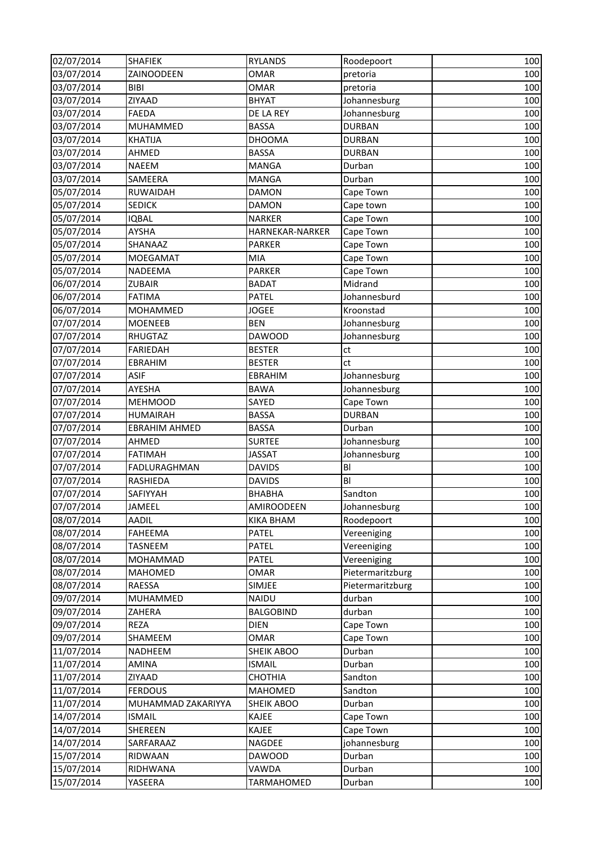| 02/07/2014 | <b>SHAFIEK</b>       | <b>RYLANDS</b>    | Roodepoort       | 100 |
|------------|----------------------|-------------------|------------------|-----|
| 03/07/2014 | ZAINOODEEN           | <b>OMAR</b>       | pretoria         | 100 |
| 03/07/2014 | <b>BIBI</b>          | <b>OMAR</b>       | pretoria         | 100 |
| 03/07/2014 | ZIYAAD               | <b>BHYAT</b>      | Johannesburg     | 100 |
| 03/07/2014 | <b>FAEDA</b>         | DE LA REY         | Johannesburg     | 100 |
| 03/07/2014 | MUHAMMED             | <b>BASSA</b>      | <b>DURBAN</b>    | 100 |
| 03/07/2014 | KHATIJA              | <b>DHOOMA</b>     | <b>DURBAN</b>    | 100 |
| 03/07/2014 | AHMED                | <b>BASSA</b>      | <b>DURBAN</b>    | 100 |
| 03/07/2014 | <b>NAEEM</b>         | <b>MANGA</b>      | Durban           | 100 |
| 03/07/2014 | SAMEERA              | <b>MANGA</b>      | Durban           | 100 |
| 05/07/2014 | RUWAIDAH             | <b>DAMON</b>      | Cape Town        | 100 |
| 05/07/2014 | <b>SEDICK</b>        | <b>DAMON</b>      | Cape town        | 100 |
| 05/07/2014 | <b>IQBAL</b>         | <b>NARKER</b>     | Cape Town        | 100 |
| 05/07/2014 | <b>AYSHA</b>         | HARNEKAR-NARKER   | Cape Town        | 100 |
| 05/07/2014 | SHANAAZ              | <b>PARKER</b>     | Cape Town        | 100 |
| 05/07/2014 | MOEGAMAT             | MIA               | Cape Town        | 100 |
| 05/07/2014 | NADEEMA              | <b>PARKER</b>     | Cape Town        | 100 |
| 06/07/2014 | <b>ZUBAIR</b>        | <b>BADAT</b>      | Midrand          | 100 |
| 06/07/2014 | <b>FATIMA</b>        | <b>PATEL</b>      | Johannesburd     | 100 |
| 06/07/2014 | MOHAMMED             | <b>JOGEE</b>      | Kroonstad        | 100 |
| 07/07/2014 | <b>MOENEEB</b>       | <b>BEN</b>        | Johannesburg     | 100 |
| 07/07/2014 | RHUGTAZ              | <b>DAWOOD</b>     | Johannesburg     | 100 |
| 07/07/2014 | <b>FARIEDAH</b>      | <b>BESTER</b>     | ct               | 100 |
| 07/07/2014 | EBRAHIM              | <b>BESTER</b>     | ct               | 100 |
| 07/07/2014 | <b>ASIF</b>          | EBRAHIM           | Johannesburg     | 100 |
| 07/07/2014 | AYESHA               | <b>BAWA</b>       | Johannesburg     | 100 |
| 07/07/2014 | <b>MEHMOOD</b>       | SAYED             | Cape Town        | 100 |
| 07/07/2014 | <b>HUMAIRAH</b>      | <b>BASSA</b>      | <b>DURBAN</b>    | 100 |
| 07/07/2014 | <b>EBRAHIM AHMED</b> | <b>BASSA</b>      | Durban           | 100 |
| 07/07/2014 | AHMED                | <b>SURTEE</b>     | Johannesburg     | 100 |
| 07/07/2014 | <b>FATIMAH</b>       | <b>JASSAT</b>     | Johannesburg     | 100 |
| 07/07/2014 | FADLURAGHMAN         | <b>DAVIDS</b>     | BI               | 100 |
| 07/07/2014 | RASHIEDA             | <b>DAVIDS</b>     | BI               | 100 |
| 07/07/2014 | SAFIYYAH             | <b>BHABHA</b>     | Sandton          | 100 |
| 07/07/2014 | JAMEEL               | <b>AMIROODEEN</b> | Johannesburg     | 100 |
| 08/07/2014 | <b>AADIL</b>         | <b>KIKA BHAM</b>  | Roodepoort       | 100 |
| 08/07/2014 | FAHEEMA              | PATEL             | Vereeniging      | 100 |
| 08/07/2014 | TASNEEM              | PATEL             | Vereeniging      | 100 |
| 08/07/2014 | MOHAMMAD             | <b>PATEL</b>      | Vereeniging      | 100 |
| 08/07/2014 | <b>MAHOMED</b>       | OMAR              | Pietermaritzburg | 100 |
| 08/07/2014 | <b>RAESSA</b>        | <b>SIMJEE</b>     | Pietermaritzburg | 100 |
| 09/07/2014 | MUHAMMED             | <b>NAIDU</b>      | durban           | 100 |
| 09/07/2014 | ZAHERA               | <b>BALGOBIND</b>  | durban           | 100 |
| 09/07/2014 | <b>REZA</b>          | <b>DIEN</b>       | Cape Town        | 100 |
| 09/07/2014 | SHAMEEM              | OMAR              | Cape Town        | 100 |
| 11/07/2014 | NADHEEM              | SHEIK ABOO        | Durban           | 100 |
| 11/07/2014 | <b>AMINA</b>         | <b>ISMAIL</b>     | Durban           | 100 |
| 11/07/2014 | ZIYAAD               | CHOTHIA           | Sandton          | 100 |
| 11/07/2014 | <b>FERDOUS</b>       | MAHOMED           | Sandton          | 100 |
| 11/07/2014 | MUHAMMAD ZAKARIYYA   | <b>SHEIK ABOO</b> | Durban           | 100 |
| 14/07/2014 | <b>ISMAIL</b>        | <b>KAJEE</b>      | Cape Town        | 100 |
| 14/07/2014 | SHEREEN              | <b>KAJEE</b>      | Cape Town        | 100 |
| 14/07/2014 | SARFARAAZ            | NAGDEE            | johannesburg     | 100 |
| 15/07/2014 | RIDWAAN              | <b>DAWOOD</b>     | Durban           | 100 |
| 15/07/2014 | RIDHWANA             | VAWDA             | Durban           | 100 |
| 15/07/2014 | YASEERA              | TARMAHOMED        | Durban           | 100 |
|            |                      |                   |                  |     |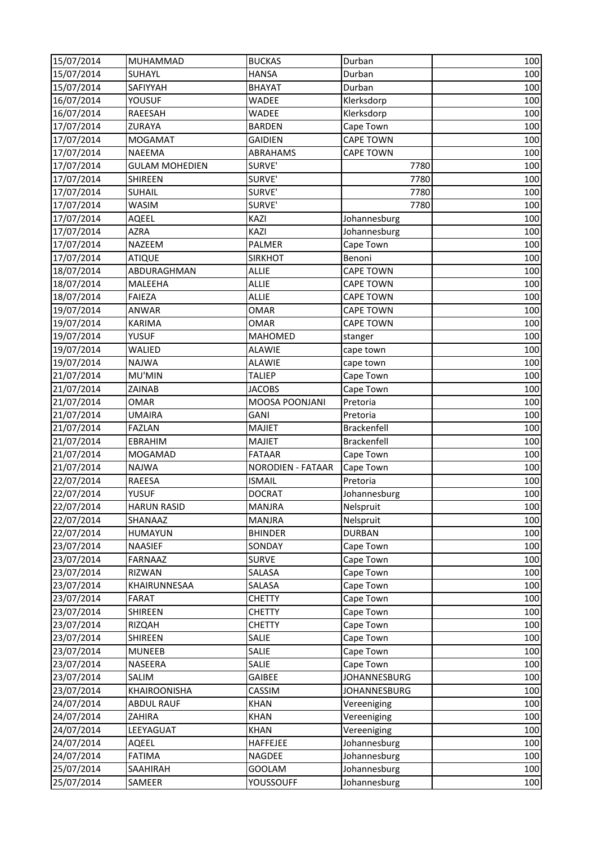| 15/07/2014 | MUHAMMAD              | <b>BUCKAS</b>            | Durban              | 100 |
|------------|-----------------------|--------------------------|---------------------|-----|
| 15/07/2014 | SUHAYL                | <b>HANSA</b>             | Durban              | 100 |
| 15/07/2014 | SAFIYYAH              | <b>BHAYAT</b>            | Durban              | 100 |
| 16/07/2014 | <b>YOUSUF</b>         | <b>WADEE</b>             | Klerksdorp          | 100 |
| 16/07/2014 | RAEESAH               | WADEE                    | Klerksdorp          | 100 |
| 17/07/2014 | ZURAYA                | <b>BARDEN</b>            | Cape Town           | 100 |
| 17/07/2014 | <b>MOGAMAT</b>        | <b>GAIDIEN</b>           | <b>CAPE TOWN</b>    | 100 |
| 17/07/2014 | <b>NAEEMA</b>         | ABRAHAMS                 | <b>CAPE TOWN</b>    | 100 |
| 17/07/2014 | <b>GULAM MOHEDIEN</b> | SURVE'                   | 7780                | 100 |
| 17/07/2014 | SHIREEN               | SURVE'                   | 7780                | 100 |
| 17/07/2014 | SUHAIL                | SURVE'                   | 7780                | 100 |
| 17/07/2014 | WASIM                 | SURVE'                   | 7780                | 100 |
| 17/07/2014 | AQEEL                 | <b>KAZI</b>              | Johannesburg        | 100 |
| 17/07/2014 | <b>AZRA</b>           | KAZI                     | Johannesburg        | 100 |
| 17/07/2014 | NAZEEM                | PALMER                   | Cape Town           | 100 |
| 17/07/2014 | <b>ATIQUE</b>         | <b>SIRKHOT</b>           | Benoni              | 100 |
| 18/07/2014 | ABDURAGHMAN           | <b>ALLIE</b>             | <b>CAPE TOWN</b>    | 100 |
| 18/07/2014 | MALEEHA               | <b>ALLIE</b>             | <b>CAPE TOWN</b>    | 100 |
| 18/07/2014 | <b>FAIEZA</b>         | <b>ALLIE</b>             | <b>CAPE TOWN</b>    | 100 |
| 19/07/2014 | <b>ANWAR</b>          | <b>OMAR</b>              | <b>CAPE TOWN</b>    | 100 |
| 19/07/2014 | <b>KARIMA</b>         | <b>OMAR</b>              | <b>CAPE TOWN</b>    | 100 |
| 19/07/2014 | <b>YUSUF</b>          | <b>MAHOMED</b>           | stanger             | 100 |
| 19/07/2014 | WALIED                | <b>ALAWIE</b>            | cape town           | 100 |
| 19/07/2014 | <b>NAJWA</b>          | <b>ALAWIE</b>            | cape town           | 100 |
| 21/07/2014 | MU'MIN                | <b>TALIEP</b>            | Cape Town           | 100 |
| 21/07/2014 | ZAINAB                | <b>JACOBS</b>            | Cape Town           | 100 |
| 21/07/2014 | OMAR                  | MOOSA POONJANI           | Pretoria            | 100 |
| 21/07/2014 | UMAIRA                | GANI                     | Pretoria            | 100 |
| 21/07/2014 | <b>FAZLAN</b>         | <b>MAJIET</b>            | <b>Brackenfell</b>  | 100 |
| 21/07/2014 | EBRAHIM               | <b>MAJIET</b>            | Brackenfell         | 100 |
| 21/07/2014 | MOGAMAD               | <b>FATAAR</b>            | Cape Town           | 100 |
| 21/07/2014 | <b>NAJWA</b>          | <b>NORODIEN - FATAAR</b> | Cape Town           | 100 |
| 22/07/2014 | RAEESA                | <b>ISMAIL</b>            | Pretoria            | 100 |
| 22/07/2014 | YUSUF                 | <b>DOCRAT</b>            | Johannesburg        | 100 |
| 22/07/2014 | <b>HARUN RASID</b>    | <b>MANJRA</b>            | Nelspruit           | 100 |
| 22/07/2014 | SHANAAZ               | <b>MANJRA</b>            | Nelspruit           | 100 |
| 22/07/2014 | HUMAYUN               | <b>BHINDER</b>           | <b>DURBAN</b>       | 100 |
| 23/07/2014 | <b>NAASIEF</b>        | SONDAY                   | Cape Town           | 100 |
| 23/07/2014 | FARNAAZ               | <b>SURVE</b>             | Cape Town           | 100 |
| 23/07/2014 | <b>RIZWAN</b>         | SALASA                   | Cape Town           | 100 |
| 23/07/2014 | KHAIRUNNESAA          | SALASA                   | Cape Town           | 100 |
| 23/07/2014 | FARAT                 | <b>CHETTY</b>            | Cape Town           | 100 |
| 23/07/2014 | SHIREEN               | <b>CHETTY</b>            | Cape Town           | 100 |
| 23/07/2014 | RIZQAH                | <b>CHETTY</b>            | Cape Town           | 100 |
| 23/07/2014 | SHIREEN               | SALIE                    | Cape Town           | 100 |
| 23/07/2014 | <b>MUNEEB</b>         | SALIE                    | Cape Town           | 100 |
| 23/07/2014 | NASEERA               | SALIE                    | Cape Town           | 100 |
| 23/07/2014 | SALIM                 | <b>GAIBEE</b>            | JOHANNESBURG        | 100 |
| 23/07/2014 | KHAIROONISHA          | CASSIM                   | <b>JOHANNESBURG</b> | 100 |
| 24/07/2014 | <b>ABDUL RAUF</b>     | <b>KHAN</b>              | Vereeniging         | 100 |
| 24/07/2014 | ZAHIRA                | <b>KHAN</b>              | Vereeniging         | 100 |
| 24/07/2014 | LEEYAGUAT             | <b>KHAN</b>              | Vereeniging         | 100 |
| 24/07/2014 | AQEEL                 | HAFFEJEE                 | Johannesburg        | 100 |
| 24/07/2014 | <b>FATIMA</b>         | NAGDEE                   | Johannesburg        | 100 |
| 25/07/2014 | SAAHIRAH              | <b>GOOLAM</b>            | Johannesburg        | 100 |
| 25/07/2014 | SAMEER                | YOUSSOUFF                | Johannesburg        | 100 |
|            |                       |                          |                     |     |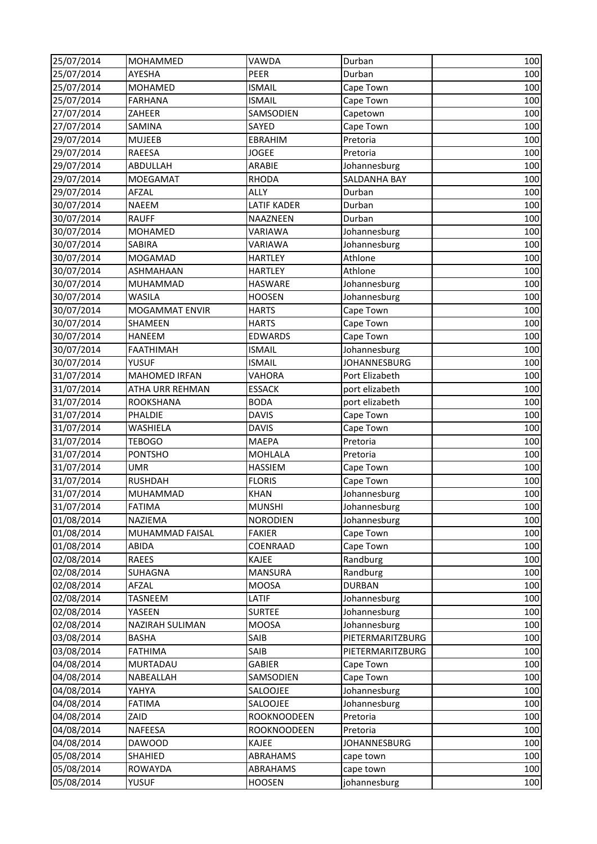| 25/07/2014 | MOHAMMED             | <b>VAWDA</b>       | Durban              | 100 |
|------------|----------------------|--------------------|---------------------|-----|
| 25/07/2014 | <b>AYESHA</b>        | PEER               | Durban              | 100 |
| 25/07/2014 | MOHAMED              | <b>ISMAIL</b>      | Cape Town           | 100 |
| 25/07/2014 | <b>FARHANA</b>       | <b>ISMAIL</b>      | Cape Town           | 100 |
| 27/07/2014 | ZAHEER               | SAMSODIEN          | Capetown            | 100 |
| 27/07/2014 | SAMINA               | SAYED              | Cape Town           | 100 |
| 29/07/2014 | <b>MUJEEB</b>        | EBRAHIM            | Pretoria            | 100 |
| 29/07/2014 | <b>RAEESA</b>        | <b>JOGEE</b>       | Pretoria            | 100 |
| 29/07/2014 | ABDULLAH             | ARABIE             | Johannesburg        | 100 |
| 29/07/2014 | MOEGAMAT             | <b>RHODA</b>       | SALDANHA BAY        | 100 |
| 29/07/2014 | AFZAL                | <b>ALLY</b>        | Durban              | 100 |
| 30/07/2014 | <b>NAEEM</b>         | <b>LATIF KADER</b> | Durban              | 100 |
| 30/07/2014 | <b>RAUFF</b>         | NAAZNEEN           | Durban              | 100 |
| 30/07/2014 | MOHAMED              | VARIAWA            | Johannesburg        | 100 |
| 30/07/2014 | SABIRA               | <b>VARIAWA</b>     | Johannesburg        | 100 |
| 30/07/2014 | MOGAMAD              | <b>HARTLEY</b>     | Athlone             | 100 |
| 30/07/2014 | ASHMAHAAN            | <b>HARTLEY</b>     | Athlone             | 100 |
| 30/07/2014 | MUHAMMAD             | HASWARE            | Johannesburg        | 100 |
| 30/07/2014 | <b>WASILA</b>        | <b>HOOSEN</b>      | Johannesburg        | 100 |
| 30/07/2014 | MOGAMMAT ENVIR       | <b>HARTS</b>       | Cape Town           | 100 |
| 30/07/2014 | SHAMEEN              | <b>HARTS</b>       | Cape Town           | 100 |
| 30/07/2014 | HANEEM               | <b>EDWARDS</b>     | Cape Town           | 100 |
| 30/07/2014 | <b>FAATHIMAH</b>     | <b>ISMAIL</b>      | Johannesburg        | 100 |
| 30/07/2014 | <b>YUSUF</b>         | <b>ISMAIL</b>      | <b>JOHANNESBURG</b> | 100 |
| 31/07/2014 | <b>MAHOMED IRFAN</b> | <b>VAHORA</b>      | Port Elizabeth      | 100 |
| 31/07/2014 | ATHA URR REHMAN      | <b>ESSACK</b>      | port elizabeth      | 100 |
| 31/07/2014 | ROOKSHANA            | <b>BODA</b>        | port elizabeth      | 100 |
| 31/07/2014 | PHALDIE              | <b>DAVIS</b>       | Cape Town           | 100 |
| 31/07/2014 | WASHIELA             | <b>DAVIS</b>       | Cape Town           | 100 |
| 31/07/2014 | <b>TEBOGO</b>        | <b>MAEPA</b>       | Pretoria            | 100 |
| 31/07/2014 | <b>PONTSHO</b>       | <b>MOHLALA</b>     | Pretoria            | 100 |
| 31/07/2014 | <b>UMR</b>           | HASSIEM            | Cape Town           | 100 |
| 31/07/2014 | <b>RUSHDAH</b>       | <b>FLORIS</b>      | Cape Town           | 100 |
| 31/07/2014 | MUHAMMAD             | <b>KHAN</b>        | Johannesburg        | 100 |
| 31/07/2014 | <b>FATIMA</b>        | <b>MUNSHI</b>      | Johannesburg        | 100 |
| 01/08/2014 | NAZIEMA              | <b>NORODIEN</b>    | Johannesburg        | 100 |
| 01/08/2014 | MUHAMMAD FAISAL      | <b>FAKIER</b>      | Cape Town           | 100 |
| 01/08/2014 | ABIDA                | COENRAAD           | Cape Town           | 100 |
| 02/08/2014 | RAEES                | KAJEE              | Randburg            | 100 |
| 02/08/2014 | SUHAGNA              | <b>MANSURA</b>     | Randburg            | 100 |
| 02/08/2014 | AFZAL                | <b>MOOSA</b>       | <b>DURBAN</b>       | 100 |
| 02/08/2014 | TASNEEM              | LATIF              | Johannesburg        | 100 |
| 02/08/2014 | YASEEN               | <b>SURTEE</b>      | Johannesburg        | 100 |
| 02/08/2014 | NAZIRAH SULIMAN      | <b>MOOSA</b>       | Johannesburg        | 100 |
| 03/08/2014 | BASHA                | SAIB               | PIETERMARITZBURG    | 100 |
| 03/08/2014 | <b>FATHIMA</b>       | SAIB               | PIETERMARITZBURG    | 100 |
| 04/08/2014 | MURTADAU             | <b>GABIER</b>      | Cape Town           | 100 |
| 04/08/2014 | NABEALLAH            | SAMSODIEN          | Cape Town           | 100 |
| 04/08/2014 | YAHYA                | SALOOJEE           | Johannesburg        | 100 |
| 04/08/2014 | <b>FATIMA</b>        | SALOOJEE           | Johannesburg        | 100 |
| 04/08/2014 | ZAID                 | ROOKNOODEEN        | Pretoria            | 100 |
| 04/08/2014 | NAFEESA              | ROOKNOODEEN        | Pretoria            | 100 |
| 04/08/2014 | DAWOOD               | KAJEE              | <b>JOHANNESBURG</b> | 100 |
| 05/08/2014 | SHAHIED              | ABRAHAMS           | cape town           | 100 |
| 05/08/2014 | ROWAYDA              | ABRAHAMS           | cape town           | 100 |
| 05/08/2014 | <b>YUSUF</b>         | <b>HOOSEN</b>      | johannesburg        | 100 |